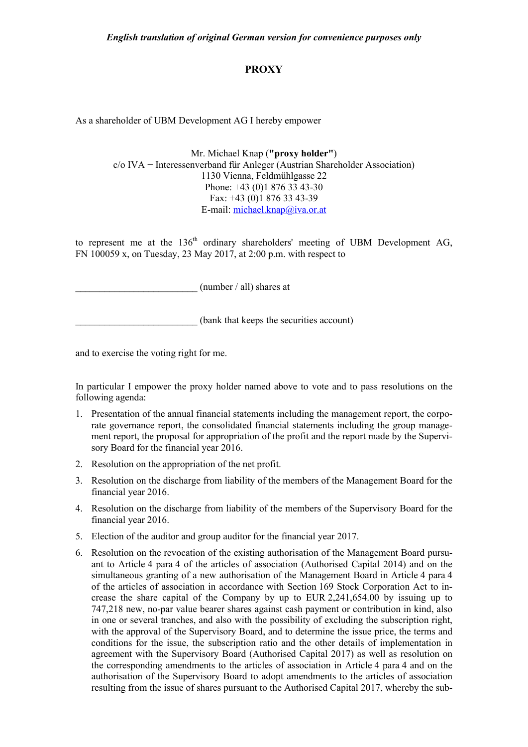## **PROXY**

As a shareholder of UBM Development AG I hereby empower

Mr. Michael Knap (**"proxy holder"**) c/o IVA − Interessenverband für Anleger (Austrian Shareholder Association) 1130 Vienna, Feldmühlgasse 22 Phone: +43 (0)1 876 33 43-30 Fax: +43 (0)1 876 33 43-39 E-mail: [michael.knap@iva.or.at](mailto:michael.knap@iva.or.at)

to represent me at the  $136<sup>th</sup>$  ordinary shareholders' meeting of UBM Development AG, FN 100059 x, on Tuesday, 23 May 2017, at 2:00 p.m. with respect to

 ${\rm (number / all)}$  shares at

\_\_\_\_\_\_\_\_\_\_\_\_\_\_\_\_\_\_\_\_\_\_\_\_\_ (bank that keeps the securities account)

and to exercise the voting right for me.

In particular I empower the proxy holder named above to vote and to pass resolutions on the following agenda:

- 1. Presentation of the annual financial statements including the management report, the corporate governance report, the consolidated financial statements including the group management report, the proposal for appropriation of the profit and the report made by the Supervisory Board for the financial year 2016.
- 2. Resolution on the appropriation of the net profit.
- 3. Resolution on the discharge from liability of the members of the Management Board for the financial year 2016.
- 4. Resolution on the discharge from liability of the members of the Supervisory Board for the financial year 2016.
- 5. Election of the auditor and group auditor for the financial year 2017.
- 6. Resolution on the revocation of the existing authorisation of the Management Board pursuant to Article 4 para 4 of the articles of association (Authorised Capital 2014) and on the simultaneous granting of a new authorisation of the Management Board in Article 4 para 4 of the articles of association in accordance with Section 169 Stock Corporation Act to increase the share capital of the Company by up to EUR 2,241,654.00 by issuing up to 747,218 new, no-par value bearer shares against cash payment or contribution in kind, also in one or several tranches, and also with the possibility of excluding the subscription right, with the approval of the Supervisory Board, and to determine the issue price, the terms and conditions for the issue, the subscription ratio and the other details of implementation in agreement with the Supervisory Board (Authorised Capital 2017) as well as resolution on the corresponding amendments to the articles of association in Article 4 para 4 and on the authorisation of the Supervisory Board to adopt amendments to the articles of association resulting from the issue of shares pursuant to the Authorised Capital 2017, whereby the sub-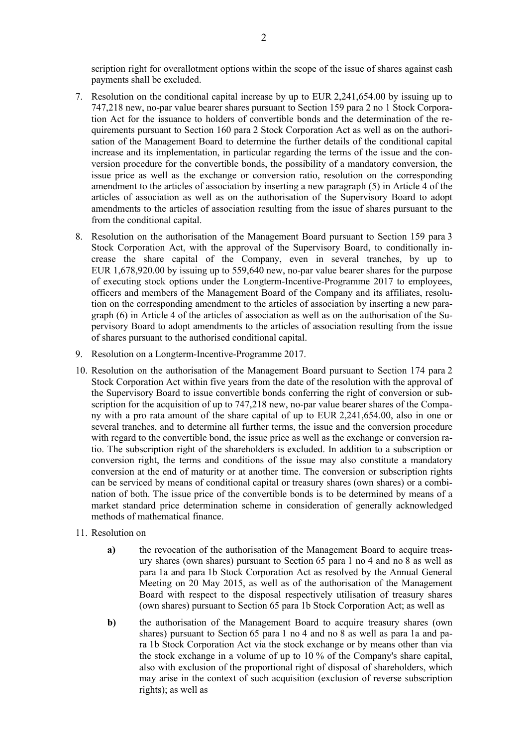scription right for overallotment options within the scope of the issue of shares against cash payments shall be excluded.

- 7. Resolution on the conditional capital increase by up to EUR 2,241,654.00 by issuing up to 747,218 new, no-par value bearer shares pursuant to Section 159 para 2 no 1 Stock Corporation Act for the issuance to holders of convertible bonds and the determination of the requirements pursuant to Section 160 para 2 Stock Corporation Act as well as on the authorisation of the Management Board to determine the further details of the conditional capital increase and its implementation, in particular regarding the terms of the issue and the conversion procedure for the convertible bonds, the possibility of a mandatory conversion, the issue price as well as the exchange or conversion ratio, resolution on the corresponding amendment to the articles of association by inserting a new paragraph (5) in Article 4 of the articles of association as well as on the authorisation of the Supervisory Board to adopt amendments to the articles of association resulting from the issue of shares pursuant to the from the conditional capital.
- 8. Resolution on the authorisation of the Management Board pursuant to Section 159 para 3 Stock Corporation Act, with the approval of the Supervisory Board, to conditionally increase the share capital of the Company, even in several tranches, by up to EUR 1,678,920.00 by issuing up to 559,640 new, no-par value bearer shares for the purpose of executing stock options under the Longterm-Incentive-Programme 2017 to employees, officers and members of the Management Board of the Company and its affiliates, resolution on the corresponding amendment to the articles of association by inserting a new paragraph (6) in Article 4 of the articles of association as well as on the authorisation of the Supervisory Board to adopt amendments to the articles of association resulting from the issue of shares pursuant to the authorised conditional capital.
- 9. Resolution on a Longterm-Incentive-Programme 2017.
- 10. Resolution on the authorisation of the Management Board pursuant to Section 174 para 2 Stock Corporation Act within five years from the date of the resolution with the approval of the Supervisory Board to issue convertible bonds conferring the right of conversion or subscription for the acquisition of up to 747,218 new, no-par value bearer shares of the Company with a pro rata amount of the share capital of up to EUR 2,241,654.00, also in one or several tranches, and to determine all further terms, the issue and the conversion procedure with regard to the convertible bond, the issue price as well as the exchange or conversion ratio. The subscription right of the shareholders is excluded. In addition to a subscription or conversion right, the terms and conditions of the issue may also constitute a mandatory conversion at the end of maturity or at another time. The conversion or subscription rights can be serviced by means of conditional capital or treasury shares (own shares) or a combination of both. The issue price of the convertible bonds is to be determined by means of a market standard price determination scheme in consideration of generally acknowledged methods of mathematical finance.
- 11. Resolution on
	- **a)** the revocation of the authorisation of the Management Board to acquire treasury shares (own shares) pursuant to Section 65 para 1 no 4 and no 8 as well as para 1a and para 1b Stock Corporation Act as resolved by the Annual General Meeting on 20 May 2015, as well as of the authorisation of the Management Board with respect to the disposal respectively utilisation of treasury shares (own shares) pursuant to Section 65 para 1b Stock Corporation Act; as well as
	- **b**) the authorisation of the Management Board to acquire treasury shares (own shares) pursuant to Section 65 para 1 no 4 and no 8 as well as para 1a and para 1b Stock Corporation Act via the stock exchange or by means other than via the stock exchange in a volume of up to 10 % of the Company's share capital, also with exclusion of the proportional right of disposal of shareholders, which may arise in the context of such acquisition (exclusion of reverse subscription rights); as well as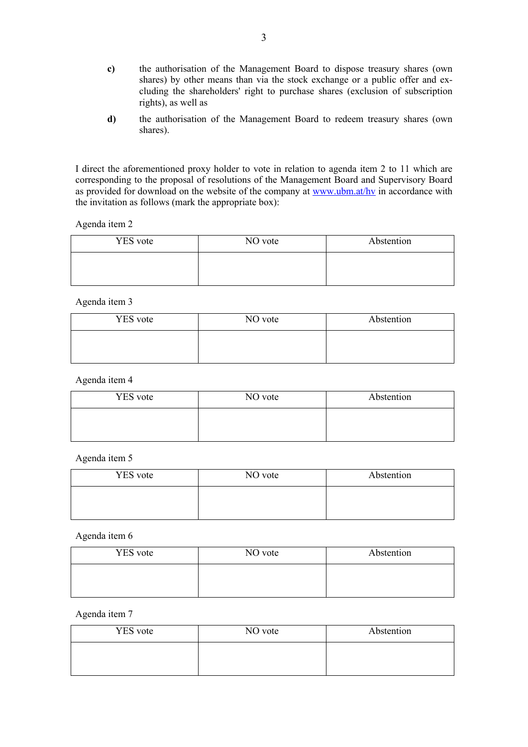- **c)** the authorisation of the Management Board to dispose treasury shares (own shares) by other means than via the stock exchange or a public offer and excluding the shareholders' right to purchase shares (exclusion of subscription rights), as well as
- **d)** the authorisation of the Management Board to redeem treasury shares (own shares).

I direct the aforementioned proxy holder to vote in relation to agenda item 2 to 11 which are corresponding to the proposal of resolutions of the Management Board and Supervisory Board as provided for download on the website of the company at www.ubm.at/hy in accordance with the invitation as follows (mark the appropriate box):

Agenda item 2

| <b>YES</b> vote | NO vote | Abstention |
|-----------------|---------|------------|
|                 |         |            |
|                 |         |            |

Agenda item 3

| <b>YES</b> vote | NO vote | Abstention |
|-----------------|---------|------------|
|                 |         |            |
|                 |         |            |

Agenda item 4

| <b>YES</b> vote | NO vote | Abstention |
|-----------------|---------|------------|
|                 |         |            |
|                 |         |            |

Agenda item 5

| <b>YES</b> vote | NO vote | Abstention |
|-----------------|---------|------------|
|                 |         |            |
|                 |         |            |

Agenda item 6

| <b>YES</b> vote | NO vote | Abstention |
|-----------------|---------|------------|
|                 |         |            |
|                 |         |            |

## Agenda item 7

| <b>YES</b> vote | NO vote | Abstention |
|-----------------|---------|------------|
|                 |         |            |
|                 |         |            |